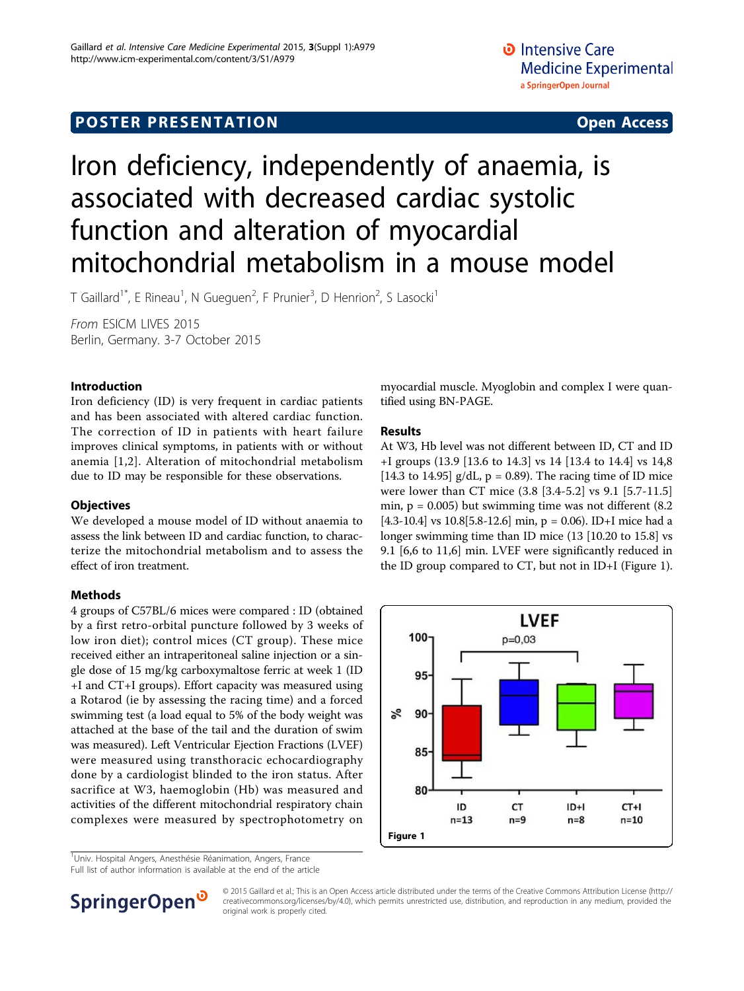## **POSTER PRESENTATION CONSUMING THE SERVICE SERVICE SERVICES**

# Iron deficiency, independently of anaemia, is associated with decreased cardiac systolic function and alteration of myocardial mitochondrial metabolism in a mouse model

T Gaillard<sup>1\*</sup>, E Rineau<sup>1</sup>, N Gueguen<sup>2</sup>, F Prunier<sup>3</sup>, D Henrion<sup>2</sup>, S Lasocki<sup>1</sup>

From ESICM LIVES 2015 Berlin, Germany. 3-7 October 2015

## Introduction

Iron deficiency (ID) is very frequent in cardiac patients and has been associated with altered cardiac function. The correction of ID in patients with heart failure improves clinical symptoms, in patients with or without anemia [[1,2](#page-1-0)]. Alteration of mitochondrial metabolism due to ID may be responsible for these observations.

## **Objectives**

We developed a mouse model of ID without anaemia to assess the link between ID and cardiac function, to characterize the mitochondrial metabolism and to assess the effect of iron treatment.

## Methods

4 groups of C57BL/6 mices were compared : ID (obtained by a first retro-orbital puncture followed by 3 weeks of low iron diet); control mices (CT group). These mice received either an intraperitoneal saline injection or a single dose of 15 mg/kg carboxymaltose ferric at week 1 (ID +I and CT+I groups). Effort capacity was measured using a Rotarod (ie by assessing the racing time) and a forced swimming test (a load equal to 5% of the body weight was attached at the base of the tail and the duration of swim was measured). Left Ventricular Ejection Fractions (LVEF) were measured using transthoracic echocardiography done by a cardiologist blinded to the iron status. After sacrifice at W3, haemoglobin (Hb) was measured and activities of the different mitochondrial respiratory chain complexes were measured by spectrophotometry on

<sup>1</sup>Univ. Hospital Angers, Anesthésie Réanimation, Angers, France

Full list of author information is available at the end of the article



### Results

At W3, Hb level was not different between ID, CT and ID +I groups (13.9 [13.6 to 14.3] vs 14 [13.4 to 14.4] vs 14,8 [14.3 to 14.95]  $g/dL$ ,  $p = 0.89$ ). The racing time of ID mice were lower than CT mice (3.8 [3.4-5.2] vs 9.1 [5.7-11.5] min,  $p = 0.005$ ) but swimming time was not different  $(8.2)$ [4.3-10.4] vs 10.8[5.8-12.6] min,  $p = 0.06$ ). ID+I mice had a longer swimming time than ID mice (13 [10.20 to 15.8] vs 9.1 [6,6 to 11,6] min. LVEF were significantly reduced in the ID group compared to CT, but not in ID+I (Figure 1).





© 2015 Gaillard et al.; This is an Open Access article distributed under the terms of the Creative Commons Attribution License [\(http://](http://creativecommons.org/licenses/by/4.0) [creativecommons.org/licenses/by/4.0](http://creativecommons.org/licenses/by/4.0)), which permits unrestricted use, distribution, and reproduction in any medium, provided the original work is properly cited.